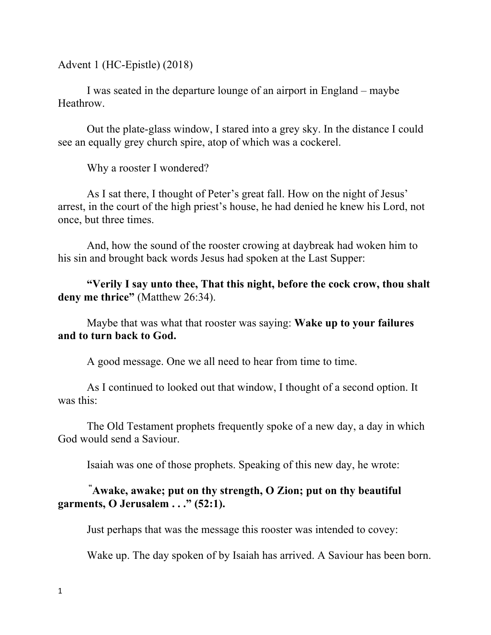Advent 1 (HC-Epistle) (2018)

I was seated in the departure lounge of an airport in England – maybe Heathrow.

Out the plate-glass window, I stared into a grey sky. In the distance I could see an equally grey church spire, atop of which was a cockerel.

Why a rooster I wondered?

As I sat there, I thought of Peter's great fall. How on the night of Jesus' arrest, in the court of the high priest's house, he had denied he knew his Lord, not once, but three times.

And, how the sound of the rooster crowing at daybreak had woken him to his sin and brought back words Jesus had spoken at the Last Supper:

**"Verily I say unto thee, That this night, before the cock crow, thou shalt deny me thrice"** (Matthew 26:34).

Maybe that was what that rooster was saying: **Wake up to your failures and to turn back to God.**

A good message. One we all need to hear from time to time.

As I continued to looked out that window, I thought of a second option. It was this:

The Old Testament prophets frequently spoke of a new day, a day in which God would send a Saviour.

Isaiah was one of those prophets. Speaking of this new day, he wrote:

## **" Awake, awake; put on thy strength, O Zion; put on thy beautiful garments, O Jerusalem . . ." (52:1).**

Just perhaps that was the message this rooster was intended to covey:

Wake up. The day spoken of by Isaiah has arrived. A Saviour has been born.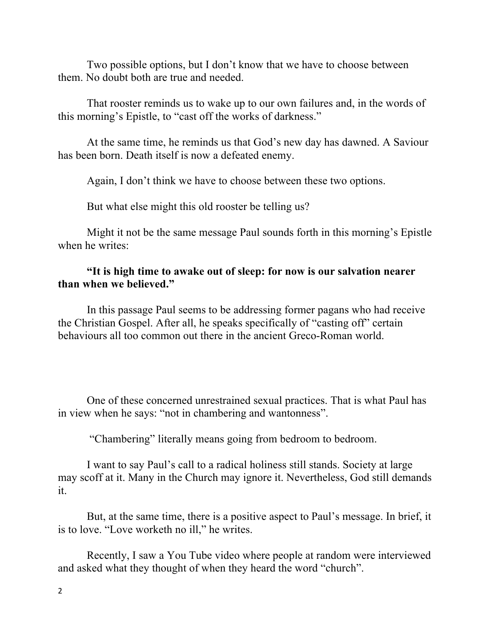Two possible options, but I don't know that we have to choose between them. No doubt both are true and needed.

That rooster reminds us to wake up to our own failures and, in the words of this morning's Epistle, to "cast off the works of darkness."

At the same time, he reminds us that God's new day has dawned. A Saviour has been born. Death itself is now a defeated enemy.

Again, I don't think we have to choose between these two options.

But what else might this old rooster be telling us?

Might it not be the same message Paul sounds forth in this morning's Epistle when he writes:

## **"It is high time to awake out of sleep: for now is our salvation nearer than when we believed."**

In this passage Paul seems to be addressing former pagans who had receive the Christian Gospel. After all, he speaks specifically of "casting off" certain behaviours all too common out there in the ancient Greco-Roman world.

One of these concerned unrestrained sexual practices. That is what Paul has in view when he says: "not in chambering and wantonness".

"Chambering" literally means going from bedroom to bedroom.

I want to say Paul's call to a radical holiness still stands. Society at large may scoff at it. Many in the Church may ignore it. Nevertheless, God still demands it.

But, at the same time, there is a positive aspect to Paul's message. In brief, it is to love. "Love worketh no ill," he writes.

Recently, I saw a You Tube video where people at random were interviewed and asked what they thought of when they heard the word "church".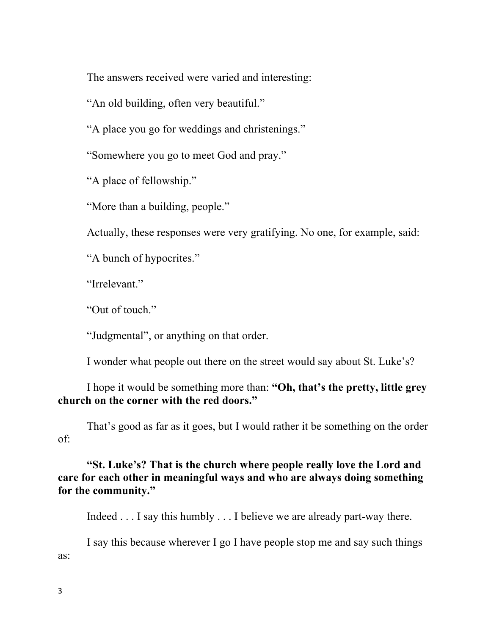The answers received were varied and interesting:

"An old building, often very beautiful."

"A place you go for weddings and christenings."

"Somewhere you go to meet God and pray."

"A place of fellowship."

"More than a building, people."

Actually, these responses were very gratifying. No one, for example, said:

"A bunch of hypocrites."

"Irrelevant"

"Out of touch"

"Judgmental", or anything on that order.

I wonder what people out there on the street would say about St. Luke's?

I hope it would be something more than: **"Oh, that's the pretty, little grey church on the corner with the red doors."**

That's good as far as it goes, but I would rather it be something on the order of:

## **"St. Luke's? That is the church where people really love the Lord and care for each other in meaningful ways and who are always doing something for the community."**

Indeed . . . I say this humbly . . . I believe we are already part-way there.

I say this because wherever I go I have people stop me and say such things as: